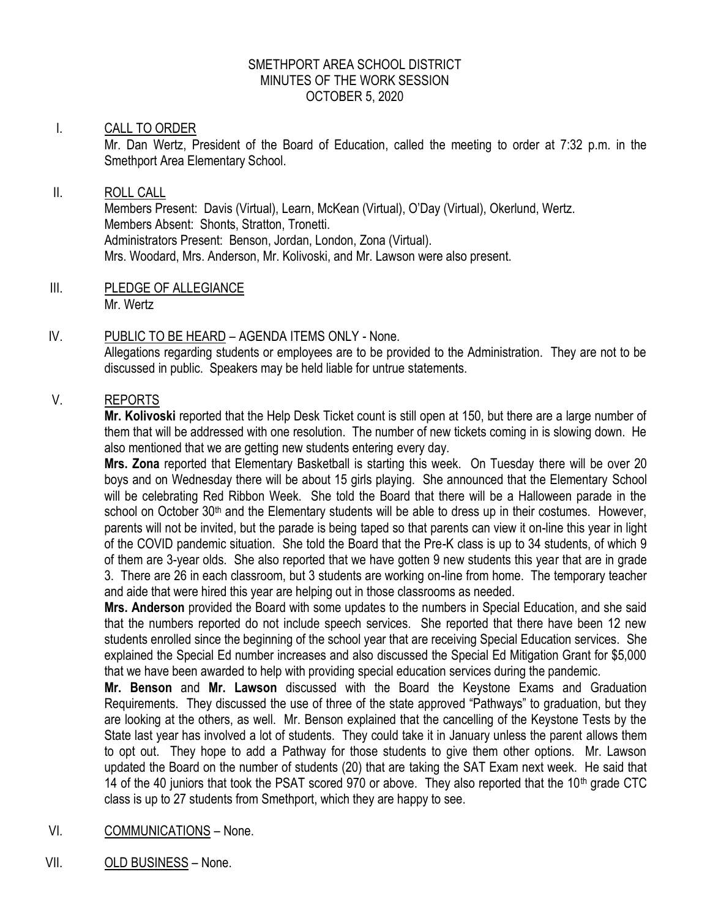### SMETHPORT AREA SCHOOL DISTRICT MINUTES OF THE WORK SESSION OCTOBER 5, 2020

### I. CALL TO ORDER

Mr. Dan Wertz, President of the Board of Education, called the meeting to order at 7:32 p.m. in the Smethport Area Elementary School.

# II. ROLL CALL

Members Present: Davis (Virtual), Learn, McKean (Virtual), O'Day (Virtual), Okerlund, Wertz. Members Absent: Shonts, Stratton, Tronetti. Administrators Present: Benson, Jordan, London, Zona (Virtual). Mrs. Woodard, Mrs. Anderson, Mr. Kolivoski, and Mr. Lawson were also present.

III. PLEDGE OF ALLEGIANCE

Mr. Wertz

# IV. PUBLIC TO BE HEARD – AGENDA ITEMS ONLY - None.

Allegations regarding students or employees are to be provided to the Administration. They are not to be discussed in public. Speakers may be held liable for untrue statements.

# V. REPORTS

**Mr. Kolivoski** reported that the Help Desk Ticket count is still open at 150, but there are a large number of them that will be addressed with one resolution. The number of new tickets coming in is slowing down. He also mentioned that we are getting new students entering every day.

**Mrs. Zona** reported that Elementary Basketball is starting this week. On Tuesday there will be over 20 boys and on Wednesday there will be about 15 girls playing. She announced that the Elementary School will be celebrating Red Ribbon Week. She told the Board that there will be a Halloween parade in the school on October 30<sup>th</sup> and the Elementary students will be able to dress up in their costumes. However, parents will not be invited, but the parade is being taped so that parents can view it on-line this year in light of the COVID pandemic situation. She told the Board that the Pre-K class is up to 34 students, of which 9 of them are 3-year olds. She also reported that we have gotten 9 new students this year that are in grade 3. There are 26 in each classroom, but 3 students are working on-line from home. The temporary teacher and aide that were hired this year are helping out in those classrooms as needed.

**Mrs. Anderson** provided the Board with some updates to the numbers in Special Education, and she said that the numbers reported do not include speech services. She reported that there have been 12 new students enrolled since the beginning of the school year that are receiving Special Education services. She explained the Special Ed number increases and also discussed the Special Ed Mitigation Grant for \$5,000 that we have been awarded to help with providing special education services during the pandemic.

**Mr. Benson** and **Mr. Lawson** discussed with the Board the Keystone Exams and Graduation Requirements. They discussed the use of three of the state approved "Pathways" to graduation, but they are looking at the others, as well. Mr. Benson explained that the cancelling of the Keystone Tests by the State last year has involved a lot of students. They could take it in January unless the parent allows them to opt out. They hope to add a Pathway for those students to give them other options. Mr. Lawson updated the Board on the number of students (20) that are taking the SAT Exam next week. He said that 14 of the 40 juniors that took the PSAT scored 970 or above. They also reported that the 10<sup>th</sup> grade CTC class is up to 27 students from Smethport, which they are happy to see.

# VI. COMMUNICATIONS – None.

VII. OLD BUSINESS – None.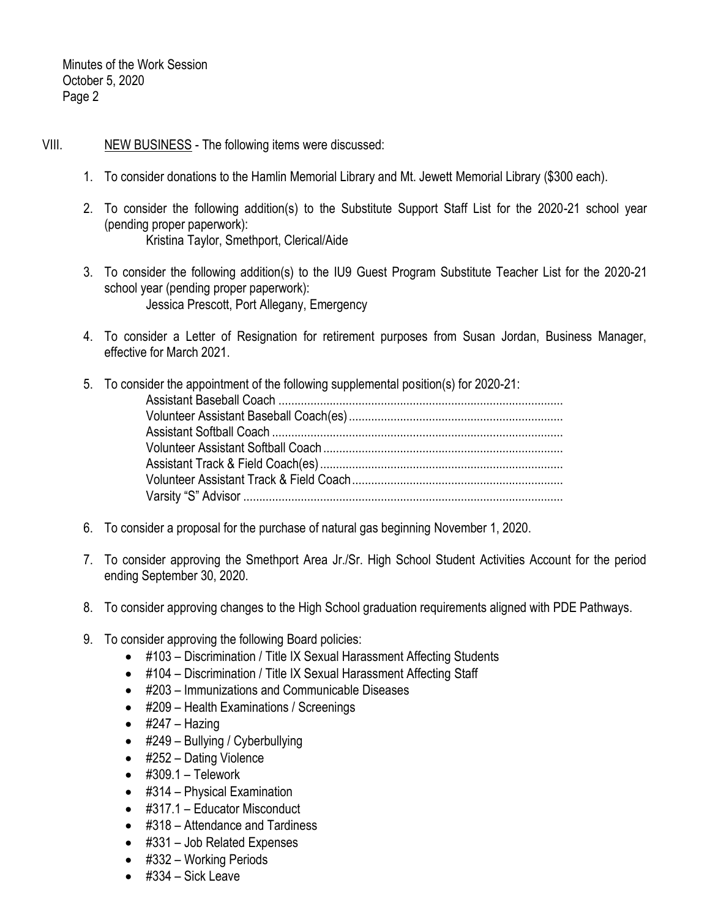# VIII. NEW BUSINESS - The following items were discussed:

- 1. To consider donations to the Hamlin Memorial Library and Mt. Jewett Memorial Library (\$300 each).
- 2. To consider the following addition(s) to the Substitute Support Staff List for the 2020-21 school year (pending proper paperwork): Kristina Taylor, Smethport, Clerical/Aide
- 3. To consider the following addition(s) to the IU9 Guest Program Substitute Teacher List for the 2020-21 school year (pending proper paperwork): Jessica Prescott, Port Allegany, Emergency
- 4. To consider a Letter of Resignation for retirement purposes from Susan Jordan, Business Manager, effective for March 2021.
- 5. To consider the appointment of the following supplemental position(s) for 2020-21: Assistant Baseball Coach ......................................................................................... Volunteer Assistant Baseball Coach(es)................................................................... Assistant Softball Coach ........................................................................................... Volunteer Assistant Softball Coach........................................................................... Assistant Track & Field Coach(es)............................................................................ Volunteer Assistant Track & Field Coach.................................................................. Varsity "S" Advisor ....................................................................................................
- 6. To consider a proposal for the purchase of natural gas beginning November 1, 2020.
- 7. To consider approving the Smethport Area Jr./Sr. High School Student Activities Account for the period ending September 30, 2020.
- 8. To consider approving changes to the High School graduation requirements aligned with PDE Pathways.
- 9. To consider approving the following Board policies:
	- #103 Discrimination / Title IX Sexual Harassment Affecting Students
	- #104 Discrimination / Title IX Sexual Harassment Affecting Staff
	- #203 Immunizations and Communicable Diseases
	- #209 Health Examinations / Screenings
	- $\bullet$  #247 Hazing
	- #249 Bullying / Cyberbullying
	- #252 Dating Violence
	- $\bullet$  #309.1 Telework
	- #314 Physical Examination
	- #317.1 Educator Misconduct
	- #318 Attendance and Tardiness
	- #331 Job Related Expenses
	- #332 Working Periods
	- $\bullet$  #334 Sick Leave